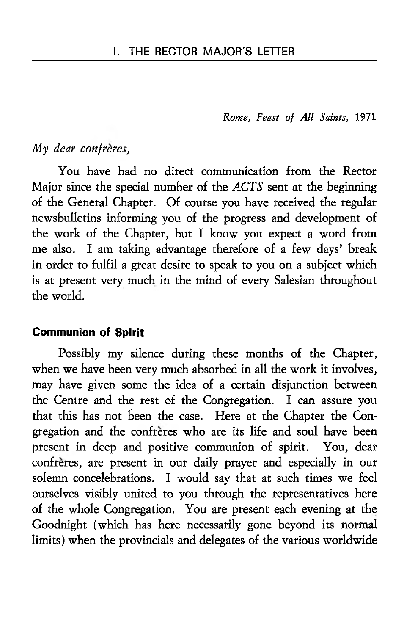*Rome, Feast of All Saints,* 1971

# *My dear confreres,*

You have had no direct communication from the Rector Major since the special number of the *ACTS* sent at the beginning of the General Chapter. Of course you have received the regular newsbulletins informing you of the progress and development of the work of the Chapter, but I know you expect a word from me also. I am taking advantage therefore of a few days' break in order to fulfil a great desire to speak to you on a subject which is at present very much in the mind of every Salesian throughout the world.

#### Communion of Spirit

Possibly my silence during these months of the Chapter, when we have been very much absorbed in all the work it involves, may have given some the idea of a certain disjunction between the Centre and the rest of the Congregation. I can assure you that this has not been the case. Here at the Chapter the Congregation and the confreres who are its life and soul have been present in deep and positive communion of spirit. You, dear confrères, are present in our daily prayer and especially in our solemn concelebrations. I would say that at such times we feel ourselves visibly united to you through the representatives here of the whole Congregation. You are present each evening at the Goodnight (which has here necessarily gone beyond its normal limits) when the provincials and delegates of the various worldwide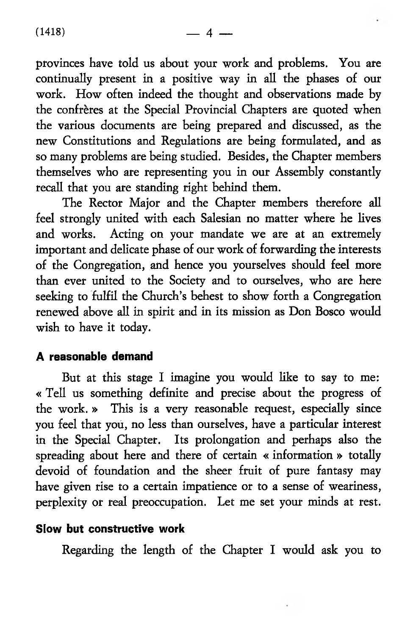$(1418)$   $-4$   $-$ 

provinces have told us about your work and problems. You are continually present in a positive way in all the phases of our work. How often indeed the thought and observations made by the confrères at the Special Provincial Chapters are quoted when the various documents are being prepared and discussed, as the new Constitutions and Regulations are being formulated, and as so many problems are being studied. Besides, the Chapter members themselves who are representing you in our Assembly constantly recall that you are standing right behind them.

The Rector Major and the Chapter members therefore all feel strongly united with each Salesian no matter where he lives and works. Acting on your mandate we are at an extremely important and delicate phase of our work of forwarding the interests of the Congregation, and hence you yourselves should feel more than ever united to the Society and to ourselves, who are here seeking to fulfil the Church's behest to show forth a Congregation renewed above all in spirit and in its mission as Don Bosco would wish to have it today.

# A reasonable demand

But at this stage I imagine you would like to say to me: « Tell us something definite and precise about the progress of the work. » This is a very reasonable request, especially since you feel that you, no less than ourselves, have a particular interest in the Special Chapter. Its prolongation and perhaps also the spreading about here and there of certain « information » totally devoid of foundation and the sheer fruit of pure fantasy may have given rise to a certain impatience or to a sense of weariness, perplexity or real preoccupation. Let me set your minds at rest.

# Slow but constructive work

Regarding the length of the Chapter I would ask you to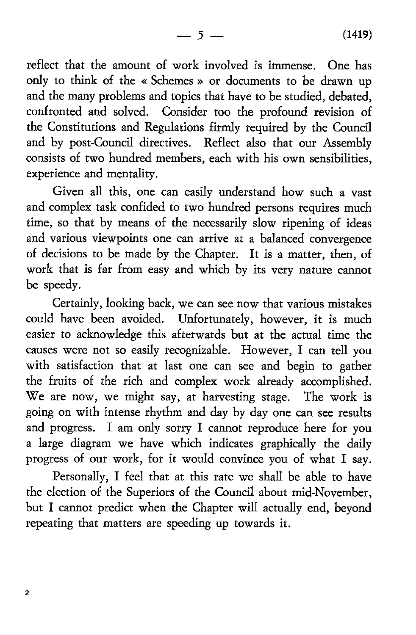— 5 — **(**1419**)**

reflect that the amount of work involved is immense. One has only to think of the « Schemes » or documents to be drawn up and the many problems and topics that have to be studied, debated, confronted and solved. Consider too the profound revision of the Constitutions and Regulations firmly required by the Council and by post-Council directives. Reflect also that our Assembly consists of two hundred members, each with his own sensibilities, experience and mentality.

Given all this, one can easily understand how such a vast and complex task confided to two hundred persons requires much time, so that by means of the necessarily slow ripening of ideas and various viewpoints one can arrive at a balanced convergence of decisions to be made by the Chapter. It is a matter, then, of work that is far from easy and which by its very nature cannot be speedy.

Certainly, looking back, we can see now that various mistakes could have been avoided. Unfortunately, however, it is much easier to acknowledge this afterwards but at the actual time the causes were not so easily recognizable. However, I can tell you with satisfaction that at last one can see and begin to gather the fruits of the rich and complex work already accomplished. We are now, we might say, at harvesting stage. The work is going on with intense rhythm and day by day one can see results and progress. I am only sorry I cannot reproduce here for you a large diagram we have which indicates graphically the daily progress of our work, for it would convince you of what I say.

Personally, I feel that at this rate we shall be able to have the election of the Superiors of the Council about mid-November, but I cannot predict when the Chapter will actually end, beyond repeating that matters are speeding up towards it.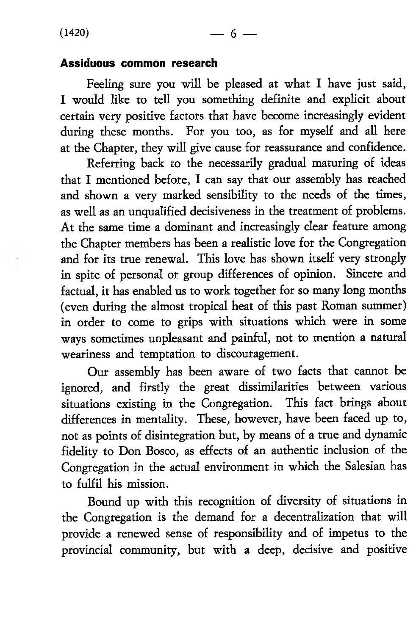#### Assiduous common research

Feeling sure you will be pleased at what I have just said, I would like to tell you something definite and explicit about certain very positive factors that have become increasingly evident during these months. For you too, as for myself and all here at the Chapter, they will give cause for reassurance and confidence.

Referring back to the necessarily gradual maturing of ideas that I mentioned before, I can say that our assembly has reached and shown a very marked sensibility to the needs of the times, as well as an unqualified decisiveness in the treatment of problems. At the same time a dominant and increasingly clear feature among the Chapter members has been a realistic love for the Congregation and for its true renewal. This love has shown itself very strongly in spite of personal or group differences of opinion. Sincere and factual, it has enabled us to work together for so many long months (even during the almost tropical heat of this past Roman summer) in order to come to grips with situations which were in some ways sometimes unpleasant and painful, not to mention a natural weariness and temptation to discouragement.

Our assembly has been aware of two facts that cannot be ignored, and firstly the great dissimilarities between various situations existing in the Congregation. This fact brings about differences in mentality. These, however, have been faced up to, not as points of disintegration but, by means of a true and dynamic fidelity to Don Bosco, as effects of an authentic inclusion of the Congregation in the actual environment in which the Salesian has to fulfil his mission.

Bound up with this recognition of diversity of situations in the Congregation is the demand for a decentralization that will provide a renewed sense of responsibility and of impetus to the provincial community, but with a deep, decisive and positive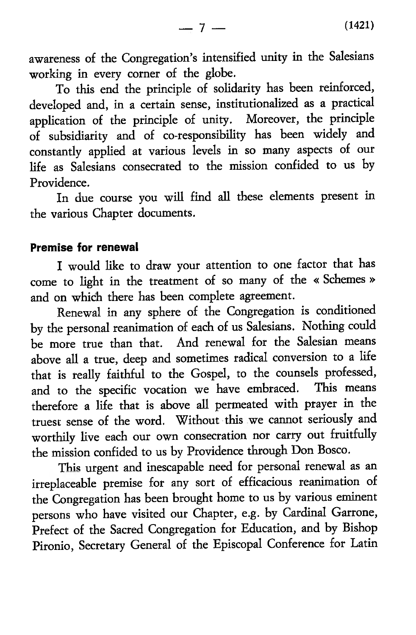awareness of the Congregation's intensified unity in the Salesians working in every corner of the globe.

To this end the principle of solidarity has been reinforced, developed and, in a certain sense, institutionalized as a practical application of the principle of unity. Moreover, the principle of subsidiarity and of co-responsibility has been widely and constantly applied at various levels in so many aspects of our life as Salesians consecrated to the mission confided to us by Providence.

In due course you will find all these elements present in the various Chapter documents.

#### Premise for renewal

I would like to draw your attention to one factor that has come to light in the treatment of so many of the « Schemes » and on which there has been complete agreement.

Renewal in any sphere of the Congregation is conditioned by the personal reanimation of each of us Salesians. Nothing could be more true than that. And renewal for the Salesian means above all a true, deep and sometimes radical conversion to a life that is really faithful to the Gospel, to the counsels professed, and to the specific vocation we have embraced. This means therefore a life that is above all permeated with prayer in the truest sense of the word. Without this we cannot seriously and worthily live each our own consecration nor carry out fruitfully the mission confided to us by Providence through Don Bosco.

This urgent and inescapable need for personal renewal as an irreplaceable premise for any sort of efficacious reanimation of the Congregation has been brought home to us by various eminent persons who have visited our Chapter, e.g. by Cardinal Garrone, Prefect of the Sacred Congregation for Education, and by Bishop Pironio, Secretary General of the Episcopal Conference for Latin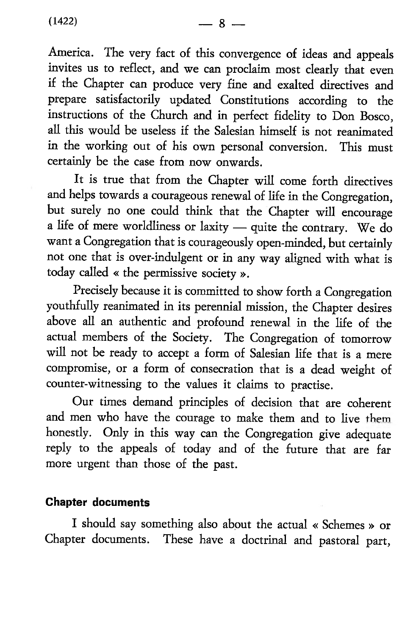**(**1422**)** — 8 —

America. The very fact of this convergence of ideas and appeals invites us to reflect, and we can proclaim most clearly that even if the Chapter can produce very fine and exalted directives and prepare satisfactorily updated Constitutions according to the instructions of the Church and in perfect fidelity to Don Bosco, all this would be useless if the Salesian himself is not reanimated in the working out of his own personal conversion. This must certainly be the case from now onwards.

It is true that from the Chapter will come forth directives and helps towards a courageous renewal of life in the Congregation, but surely no one could think that the Chapter will encourage a life of mere worldliness or laxity — quite the contrary. We do want a Congregation that is courageously open-minded, but certainly not one that is over-indulgent or in any way aligned with what is today called « the permissive society ».

Precisely because it is committed to show forth a Congregation youthfully reanimated in its perennial mission, the Chapter desires above all an authentic and profound renewal in the life of the actual members of the Society. The Congregation of tomorrow will not be ready to accept a form of Salesian life that is a mere compromise, or a form of consecration that is a dead weight of counter-witnessing to the values it claims to practise.

Our times demand principles of decision that are coherent and men who have the courage to make them and to live them honestly. Only in this way can the Congregation give adequate reply to the appeals of today and of the future that are far more urgent than those of the past.

### Chapter documents

I should say something also about the actual « Schemes » or Chapter documents. These have a doctrinal and pastoral part,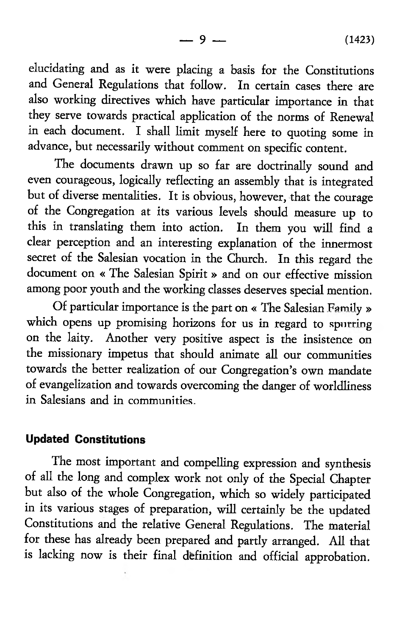elucidating and as it were placing a basis for the Constitutions and General Regulations that follow. In certain cases there are also working directives which have particular importance in that they serve towards practical application of the norms of Renewal in each document. I shall limit myself here to quoting some in advance, but necessarily without comment on specific content.

The documents drawn up so far are doctrinally sound and even courageous, logically reflecting an assembly that is integrated but of diverse mentalities. It is obvious, however, that the courage of the Congregation at its various levels should measure up to this in translating them into action. In them you will find a clear perception and an interesting explanation of the innermost secret of the Salesian vocation in the Church. In this regard the document on « The Salesian Spirit » and on our effective mission among poor youth and the working classes deserves special mention.

Of particular importance is the part on « The Salesian Family » which opens up promising horizons for us in regard to spurring on the laity. Another very positive aspect is the insistence on the missionary impetus that should animate all our communities towards the better realization of our Congregation's own mandate of evangelization and towards overcoming the danger of worldliness in Salesians and in communities.

### Updated Constitutions

The most important and compelling expression and synthesis of all the long and complex work not only of the Special Chapter but also of the whole Congregation, which so widely participated in its various stages of preparation, will certainly be the updated Constitutions and the relative General Regulations. The material for these has already been prepared and partly arranged. All that is lacking now is their final definition and official approbation.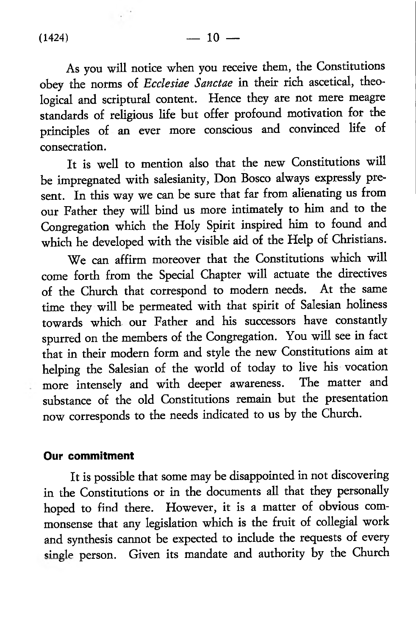As you will notice when you receive them, the Constitutions obey the norms of *Ecclesiae Sanctae* in their rich ascetical, theological and scriptural content. Hence they are not mere meagre standards of religious life but offer profound motivation for the principles of an ever more conscious and convinced life of consecration.

It is well to mention also that the new Constitutions will be impregnated with salesianity, Don Bosco always expressly present. In this way we can be sure that far from alienating us from our Father they will bind us more intimately to him and to the Congregation which the Holy Spirit inspired him to found and which he developed with the visible aid of the Help of Christians.

We can affirm moreover that the Constitutions which will come forth from the Special Chapter will actuate the directives of the Church that correspond to modern needs. At the same time they will be permeated with that spirit of Salesian holiness towards which our Father and his successors have constantly spurred on the members of the Congregation. You will see in fact that in their modern form and style the new Constitutions aim at helping the Salesian of the world of today to live his vocation more intensely and with deeper awareness. The matter and substance of the old Constitutions remain but the presentation now corresponds to the needs indicated to us by the Church.

#### Our commitment

It is possible that some may be disappointed in not discovering in the Constitutions or in the documents all that they personally hoped to find there. However, it is a matter of obvious commonsense that any legislation which is the fruit of collegial work and synthesis cannot be expected to include the requests of every single person. Given its mandate and authority by the Church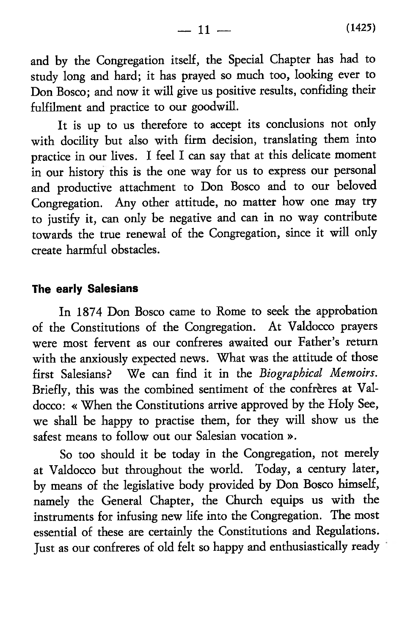and by the Congregation itself, the Special Chapter has had to study long and hard; it has prayed so much too, looking ever to Don Bosco; and now it will give us positive results, confiding their fulfilment and practice to our goodwill.

It is up to us therefore to accept its conclusions not only with docility but also with firm decision, translating them into practice in our lives. I feel I can say that at this delicate moment in our history this is the one way for us to express our personal and productive attachment to Don Bosco and to our beloved Congregation. Any other attitude, no matter how one may try to justify it, can only be negative and can in no way contribute towards the true renewal of the Congregation, since it will only create harmful obstacles.

# The early Salesians

In 1874 Don Bosco came to Rome to seek the approbation of the Constitutions of the Congregation. At Valdocco prayers were most fervent as our confreres awaited our Father's return with the anxiously expected news. What was the attitude of those first Salesians? We can find it in the *Biographical Memoirs.* Briefly, this was the combined sentiment of the confreres at Valdocco: « When the Constitutions arrive approved by the Holy See, we shall be happy to practise them, for they will show us the safest means to follow out our Salesian vocation ».

So too should it be today in the Congregation, not merely at Valdocco but throughout the world. Today, a century later, by means of the legislative body provided by Don Bosco himself, namely the General Chapter, the Church equips us with the instruments for infusing new life into the Congregation. The most essential of these are certainly the Constitutions and Regulations. Just as our confreres of old felt so happy and enthusiastically ready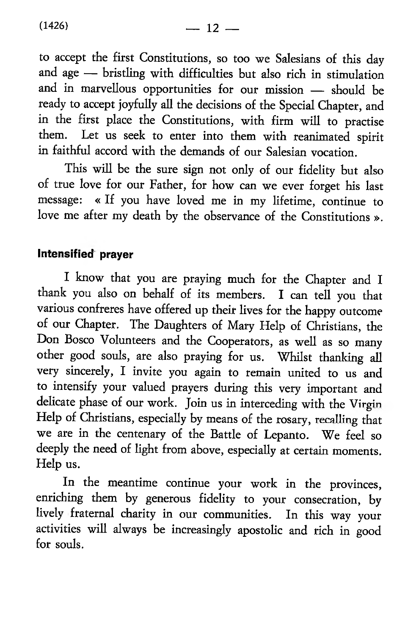to accept the first Constitutions, so too we Salesians of this day and age — bristling with difficulties but also rich in stimulation and in marvellous opportunities for our mission — should be ready to accept joyfully all the decisions of the Special Chapter, and in the first place the Constitutions, with firm will to practise them. Let us seek to enter into them with reanimated spirit in faithful accord with the demands of our Salesian vocation.

This will be the sure sign not only of our fidelity but also of true love for our Father, for how can we ever forget his last message: « If you have loved me in my lifetime, continue to love me after my death by the observance of the Constitutions ».

### Intensified prayer

I know that you are praying much for the Chapter and I thank you also on behalf of its members. I can tell you that various confreres have offered up their lives for the happy outcome of our Chapter. The Daughters of Mary Help of Christians, the Don Bosco Volunteers and the Cooperators, as well as so many other good souls, are also praying for us. Whilst thanking all very sincerely, I invite you again to remain united to us and to intensify your valued prayers during this very important and delicate phase of our work. Join us in interceding with the Virgin Help of Christians, especially by means of the rosary, recalling that we are in the centenary of the Battle of Lepanto. We feel so deeply the need of light from above, especially at certain moments. Help us.

In the meantime continue your work in the provinces, enriching them by generous fidelity to your consecration, by lively fraternal charity in our communities. In this way your activities will always be increasingly apostolic and rich in good for souls.